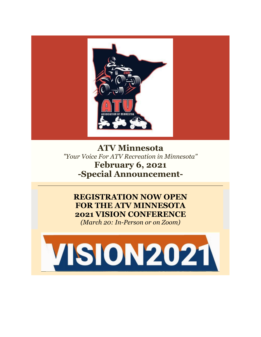

**ATV Minnesota** *"Your Voice For ATV Recreation in Minnesota"* **February 6, 2021 -Special Announcement-**

# **REGISTRATION NOW OPEN FOR THE ATV MINNESOTA 2021 VISION CONFERENCE**

*(March 20: In-Person or on Zoom)*

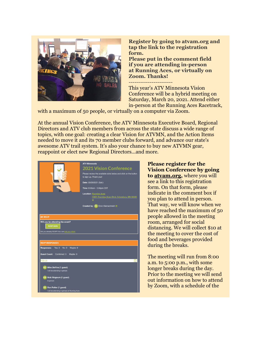

**Register by going to atvam.org and tap the link to the registration form.**

**Please put in the comment field if you are attending in-person at Running Aces, or virtually on Zoom. Thanks!**

----------------------- This year's ATV Minnesota Vision Conference will be a hybrid meeting on Saturday, March 20, 2021. Attend either in-person at the Running Aces Racetrack,

with a maximum of 50 people, or virtually on a computer via Zoom.

At the annual Vision Conference, the ATV Minnesota Executive Board, Regional Directors and ATV club members from across the state discuss a wide range of topics, with one goal: creating a clear Vision for ATVMN, and the Action Items needed to move it and its 70 member clubs forward, and advance our state's awesome ATV trail system. It's also your chance to buy new ATVMN gear, reappoint or elect new Regional Directors...and more.

|                                                                                                                        | <b>ATV Minnesota</b><br><b>2021 Vision Conference</b><br>Please review the available slots below and click on the button<br>to sign up. Thank you!<br>Date: 03/20/2021 (Sat.)<br>Time: 8:00am - 5:00pm CST<br><b>Location: Running Aces</b><br>15201 Running Aces Blvd, Columbus, MN 55025<br>$\bullet$<br>Created by: EK Ervin Kleinschmidt |
|------------------------------------------------------------------------------------------------------------------------|----------------------------------------------------------------------------------------------------------------------------------------------------------------------------------------------------------------------------------------------------------------------------------------------------------------------------------------------|
| <b>MY RSVP</b><br>Will you be attending the event?<br><b>RSVP NOW</b><br>Did you already RSVP? You can Edit your RSVP. |                                                                                                                                                                                                                                                                                                                                              |
| <b>RSVP RESPONSES</b>                                                                                                  |                                                                                                                                                                                                                                                                                                                                              |
| Responses:<br>Yes: 3<br>No: 0<br>Maybe: 0<br>Guest Count: Confirmed: 3<br>Maybe: 0                                     |                                                                                                                                                                                                                                                                                                                                              |
| <b>YES (3)</b>                                                                                                         |                                                                                                                                                                                                                                                                                                                                              |
| MD Mike DeVine (1 guest)<br>I will be attending in person.                                                             |                                                                                                                                                                                                                                                                                                                                              |
| NW Nick Wognum (1 guest)<br>In person                                                                                  |                                                                                                                                                                                                                                                                                                                                              |
| Ron Potter (1 guest)<br>I will be attending in person at Running Aces                                                  |                                                                                                                                                                                                                                                                                                                                              |

**Please register for the Vision Conference by going to [atvam.org,](http://r20.rs6.net/tn.jsp?f=001jQnwP8k-OiF7hkrkZExYa2IXC9s_6kiE__tqygLAgbBwqTN2vjDQNHFmMmVfnXEB4r10uOrQcssh9ChC_euvZasWyVOvgB-7Sqa3FmQd0w9wf0gbGwE1fQ65yUYZc3WSIEgnjYOFPg0=&c=tC5kQbdwKvWjeETeygxSDDv4zf96WVHEWDuKIaLXBU3mhdD-jdu9lg==&ch=fLlonTCRmzju2pQ53QMZ7hxm4-hv-6bBSlmDfUkF4NtBaS02X8WBLA==)** where you will see a link to this registration form. On that form, please indicate in the comment box if you plan to attend in person. That way, we will know when we have reached the maximum of 50 people allowed in the meeting room, arranged for social distancing. We will collect \$10 at the meeting to cover the cost of food and beverages provided during the breaks.

The meeting will run from 8:00 a.m. to 5:00 p.m., with some longer breaks during the day. Prior to the meeting we will send out information on how to attend by Zoom, with a schedule of the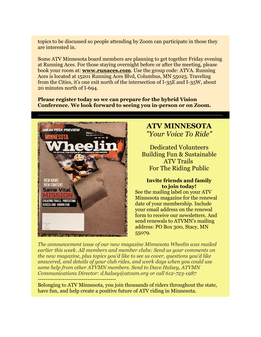topics to be discussed so people attending by Zoom can participate in those they are interested in.

Some ATV Minnesota board members are planning to get together Friday evening at Running Aces. For those staying overnight before or after the meeting, please book your room at: **[www.runaces.com](http://r20.rs6.net/tn.jsp?f=001jQnwP8k-OiF7hkrkZExYa2IXC9s_6kiE__tqygLAgbBwqTN2vjDQNN-zKUKAGtBplLXhZfGdaaiwkwVJBKT4H9F8BCFDP4ZSctTm3n2PYWloDNiuZ_AoY3F8UAiqLXoWQ1L_xm7501r1-DzsOPFHbg==&c=tC5kQbdwKvWjeETeygxSDDv4zf96WVHEWDuKIaLXBU3mhdD-jdu9lg==&ch=fLlonTCRmzju2pQ53QMZ7hxm4-hv-6bBSlmDfUkF4NtBaS02X8WBLA==)**. Use the group code: ATVA. Running Aces is located at 15201 Running Aces Blvd, Columbus, MN 55025. Traveling from the Cities, it's one exit north of the intersection of I-35E and I-35W, about 20 minutes north of I-694.

**Please register today so we can prepare for the hybrid Vision Conference. We look forward to seeing you in-person or on Zoom.**



### **ATV MINNESOTA** *"Your Voice To Ride"*

Dedicated Volunteers Building Fun & Sustainable ATV Trails For The Riding Public

#### **Invite friends and family to join today!**

See the mailing label on your ATV Minnesota magazine for the renewal date of your membership. Include your email address on the renewal form to receive our newsletters. And send renewals to ATVMN's mailing address: PO Box 300, Stacy, MN 55079.

*The announcement issue of our new magazine Minnesota Wheelin was mailed earlier this week. All members and member clubs: Send us your comments on the new magazine, plus topics you'd like to see us cover, questions you'd like answered, and details of your club rides, and work days when you could use some help from other ATVMN members. Send to Dave Halsey, ATVMN Communications Director: d.halsey@atvam.org or call 612-723-1987* -----------------------------------------

Belonging to ATV Minnesota, you join thousands of riders throughout the state, have fun, and help create a positive future of ATV riding in Minnesota.